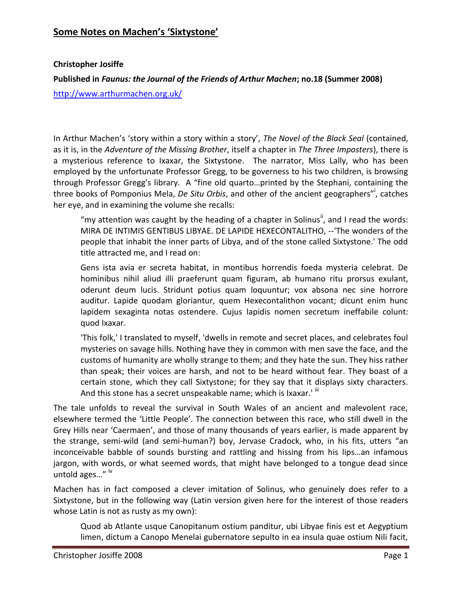#### **Some Notes on Machen's 'Sixtystone'**

#### **Christopher Josiffe**

#### **Published in** *Faunus: the Journal of the Friends of Arthur Machen***; no.18 (Summer 2008)**

<http://www.arthurmachen.org.uk/>

In Arthur Machen's 'story within a story within a story', *The Novel of the Black Seal* (contained, as it is, in the *Adventure of the Missing Brother*, itself a chapter in *The Three Imposters*), there is a mysterious reference to Ixaxar, the Sixtystone. The narrator, Miss Lally, who has been employed by the unfortunate Professor Gregg, to be governess to his two children, is browsing through Professor Gregg's library. A "fine old quarto…printed by the Stephani, containing the three books of Pomponius Mela, *De Situ Orbis*, and other of the ancient geographers"<sup>i</sup> , catches her eye, and in examining the volume she recalls:

"my attention was caught by the heading of a chapter in Solinus", and I read the words: MIRA DE INTIMIS GENTIBUS LIBYAE. DE LAPIDE HEXECONTALITHO, --'The wonders of the people that inhabit the inner parts of Libya, and of the stone called Sixtystone.' The odd title attracted me, and I read on:

Gens ista avia er secreta habitat, in montibus horrendis foeda mysteria celebrat. De hominibus nihil aliud illi praeferunt quam figuram, ab humano ritu prorsus exulant, oderunt deum lucis. Stridunt potius quam loquuntur; vox absona nec sine horrore auditur. Lapide quodam gloriantur, quem Hexecontalithon vocant; dicunt enim hunc lapidem sexaginta notas ostendere. Cujus lapidis nomen secretum ineffabile colunt: quod Ixaxar.

'This folk,' I translated to myself, 'dwells in remote and secret places, and celebrates foul mysteries on savage hills. Nothing have they in common with men save the face, and the customs of humanity are wholly strange to them; and they hate the sun. They hiss rather than speak; their voices are harsh, and not to be heard without fear. They boast of a certain stone, which they call Sixtystone; for they say that it displays sixty characters. And this stone has a secret unspeakable name; which is Ixaxar.' iii

The tale unfolds to reveal the survival in South Wales of an ancient and malevolent race, elsewhere termed the 'Little People'. The connection between this race, who still dwell in the Grey Hills near 'Caermaen', and those of many thousands of years earlier, is made apparent by the strange, semi-wild (and semi-human?) boy, Jervase Cradock, who, in his fits, utters "an inconceivable babble of sounds bursting and rattling and hissing from his lips…an infamous jargon, with words, or what seemed words, that might have belonged to a tongue dead since untold ages..." iv

Machen has in fact composed a clever imitation of Solinus, who genuinely does refer to a Sixtystone, but in the following way (Latin version given here for the interest of those readers whose Latin is not as rusty as my own):

Quod ab Atlante usque Canopitanum ostium panditur, ubi Libyae finis est et Aegyptium limen, dictum a Canopo Menelai gubernatore sepulto in ea insula quae ostium Nili facit,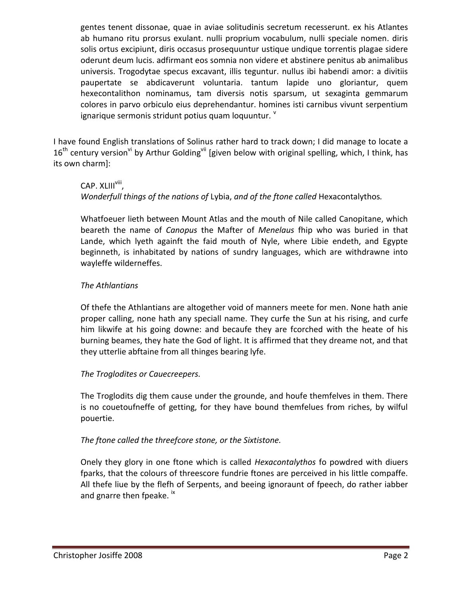gentes tenent dissonae, quae in aviae solitudinis secretum recesserunt. ex his Atlantes ab humano ritu prorsus exulant. nulli proprium vocabulum, nulli speciale nomen. diris solis ortus excipiunt, diris occasus prosequuntur ustique undique torrentis plagae sidere oderunt deum lucis. adfirmant eos somnia non videre et abstinere penitus ab animalibus universis. Trogodytae specus excavant, illis teguntur. nullus ibi habendi amor: a divitiis paupertate se abdicaverunt voluntaria. tantum lapide uno gloriantur, quem hexecontalithon nominamus, tam diversis notis sparsum, ut sexaginta gemmarum colores in parvo orbiculo eius deprehendantur. homines isti carnibus vivunt serpentium ignarique sermonis stridunt potius quam loquuntur*.* v

I have found English translations of Solinus rather hard to track down; I did manage to locate a  $16<sup>th</sup>$  century version<sup>vi</sup> by Arthur Golding<sup>vii</sup> [given below with original spelling, which, I think, has its own charm]:

# CAP. XLIII<sup>viii</sup>, *Wonderfull things of the nations of* Lybia, *and of the ftone called* Hexacontalythos*.*

Whatfoeuer lieth between Mount Atlas and the mouth of Nile called Canopitane, which beareth the name of *Canopus* the Mafter of *Menelaus* fhip who was buried in that Lande, which lyeth againft the faid mouth of Nyle, where Libie endeth, and Egypte beginneth, is inhabitated by nations of sundry languages, which are withdrawne into wayleffe wilderneffes.

## *The Athlantians*

Of thefe the Athlantians are altogether void of manners meete for men. None hath anie proper calling, none hath any speciall name. They curfe the Sun at his rising, and curfe him likwife at his going downe: and becaufe they are fcorched with the heate of his burning beames, they hate the God of light. It is affirmed that they dreame not, and that they utterlie abftaine from all thinges bearing lyfe.

## *The Troglodites or Cauecreepers.*

The Troglodits dig them cause under the grounde, and houfe themfelves in them. There is no couetoufneffe of getting, for they have bound themfelues from riches, by wilful pouertie.

## *The ftone called the threefcore stone, or the Sixtistone.*

Onely they glory in one ftone which is called *Hexacontalythos* fo powdred with diuers fparks, that the colours of threescore fundrie ftones are perceived in his little compaffe. All thefe liue by the flefh of Serpents, and beeing ignoraunt of fpeech, do rather iabber and gnarre then fpeake. IX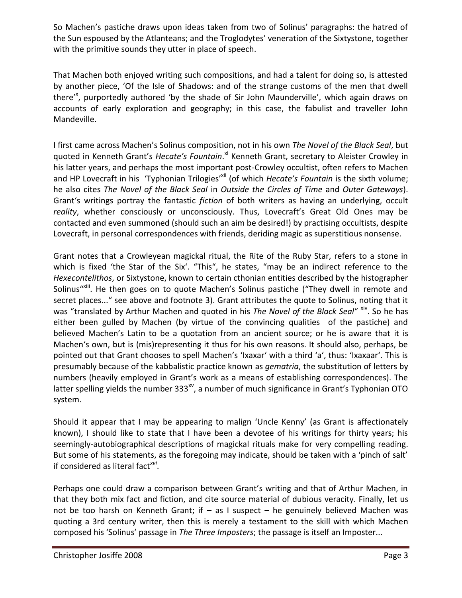So Machen's pastiche draws upon ideas taken from two of Solinus' paragraphs: the hatred of the Sun espoused by the Atlanteans; and the Troglodytes' veneration of the Sixtystone, together with the primitive sounds they utter in place of speech.

That Machen both enjoyed writing such compositions, and had a talent for doing so, is attested by another piece, 'Of the Isle of Shadows: and of the strange customs of the men that dwell there<sup>'x</sup>, purportedly authored 'by the shade of Sir John Maunderville', which again draws on accounts of early exploration and geography; in this case, the fabulist and traveller John Mandeville.

I first came across Machen's Solinus composition, not in his own *The Novel of the Black Seal*, but quoted in Kenneth Grant's Hecate's Fountain.<sup>xi</sup> Kenneth Grant, secretary to Aleister Crowley in his latter years, and perhaps the most important post-Crowley occultist, often refers to Machen and HP Lovecraft in his 'Typhonian Trilogies'<sup>xii</sup> (of which *Hecate's Fountain* is the sixth volume; he also cites *The Novel of the Black Seal* in *Outside the Circles of Time* and *Outer Gateways*). Grant's writings portray the fantastic *fiction* of both writers as having an underlying, occult *reality*, whether consciously or unconsciously. Thus, Lovecraft's Great Old Ones may be contacted and even summoned (should such an aim be desired!) by practising occultists, despite Lovecraft, in personal correspondences with friends, deriding magic as superstitious nonsense.

Grant notes that a Crowleyean magickal ritual, the Rite of the Ruby Star, refers to a stone in which is fixed 'the Star of the Six'. "This", he states, "may be an indirect reference to the *Hexecontelithos*, or Sixtystone, known to certain cthonian entities described by the histographer Solinus"<sup>xiii</sup>. He then goes on to quote Machen's Solinus pastiche ("They dwell in remote and secret places..." see above and footnote 3). Grant attributes the quote to Solinus, noting that it was "translated by Arthur Machen and quoted in his *The Novel of the Black Seal*" xiv. So he has either been gulled by Machen (by virtue of the convincing qualities of the pastiche) and believed Machen's Latin to be a quotation from an ancient source; or he is aware that it is Machen's own, but is (mis)representing it thus for his own reasons. It should also, perhaps, be pointed out that Grant chooses to spell Machen's 'Ixaxar' with a third 'a', thus: 'Ixaxaar'. This is presumably because of the kabbalistic practice known as *gematria*, the substitution of letters by numbers (heavily employed in Grant's work as a means of establishing correspondences). The latter spelling yields the number  $333^{x}$ , a number of much significance in Grant's Typhonian OTO system.

Should it appear that I may be appearing to malign 'Uncle Kenny' (as Grant is affectionately known), I should like to state that I have been a devotee of his writings for thirty years; his seemingly-autobiographical descriptions of magickal rituals make for very compelling reading. But some of his statements, as the foregoing may indicate, should be taken with a 'pinch of salt' if considered as literal fact*xvi* .

Perhaps one could draw a comparison between Grant's writing and that of Arthur Machen, in that they both mix fact and fiction, and cite source material of dubious veracity. Finally, let us not be too harsh on Kenneth Grant; if – as I suspect – he genuinely believed Machen was quoting a 3rd century writer, then this is merely a testament to the skill with which Machen composed his 'Solinus' passage in *The Three Imposters*; the passage is itself an Imposter...